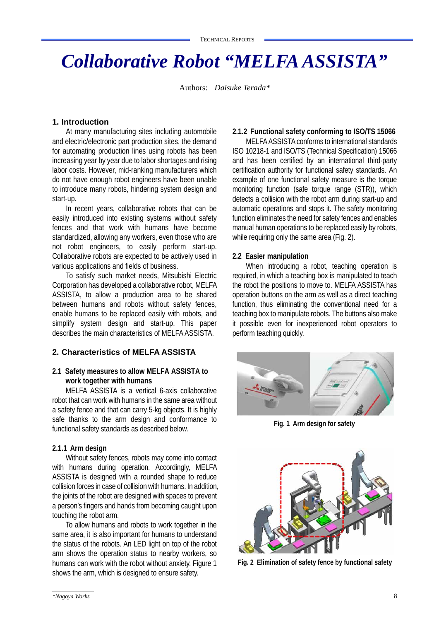# *Collaborative Robot "MELFA ASSISTA"*

Authors: *Daisuke Terada\**

## **1. Introduction**

At many manufacturing sites including automobile and electric/electronic part production sites, the demand for automating production lines using robots has been increasing year by year due to labor shortages and rising labor costs. However, mid-ranking manufacturers which do not have enough robot engineers have been unable to introduce many robots, hindering system design and start-up.

In recent years, collaborative robots that can be easily introduced into existing systems without safety fences and that work with humans have become standardized, allowing any workers, even those who are not robot engineers, to easily perform start-up. Collaborative robots are expected to be actively used in various applications and fields of business.

To satisfy such market needs, Mitsubishi Electric Corporation has developed a collaborative robot, MELFA ASSISTA, to allow a production area to be shared between humans and robots without safety fences, enable humans to be replaced easily with robots, and simplify system design and start-up. This paper describes the main characteristics of MELFA ASSISTA.

## **2. Characteristics of MELFA ASSISTA**

## **2.1 Safety measures to allow MELFA ASSISTA to work together with humans**

MELFA ASSISTA is a vertical 6-axis collaborative robot that can work with humans in the same area without a safety fence and that can carry 5-kg objects. It is highly safe thanks to the arm design and conformance to functional safety standards as described below.

## **2.1.1 Arm design**

Without safety fences, robots may come into contact with humans during operation. Accordingly, MELFA ASSISTA is designed with a rounded shape to reduce collision forces in case of collision with humans. In addition, the joints of the robot are designed with spaces to prevent a person's fingers and hands from becoming caught upon touching the robot arm.

To allow humans and robots to work together in the same area, it is also important for humans to understand the status of the robots. An LED light on top of the robot arm shows the operation status to nearby workers, so humans can work with the robot without anxiety. Figure 1 shows the arm, which is designed to ensure safety.

## **2.1.2 Functional safety conforming to ISO/TS 15066**

MELFA ASSISTA conforms to international standards ISO 10218-1 and ISO/TS (Technical Specification) 15066 and has been certified by an international third-party certification authority for functional safety standards. An example of one functional safety measure is the torque monitoring function (safe torque range (STR)), which detects a collision with the robot arm during start-up and automatic operations and stops it. The safety monitoring function eliminates the need for safety fences and enables manual human operations to be replaced easily by robots, while requiring only the same area (Fig. 2).

## **2.2 Easier manipulation**

When introducing a robot, teaching operation is required, in which a teaching box is manipulated to teach the robot the positions to move to. MELFA ASSISTA has operation buttons on the arm as well as a direct teaching function, thus eliminating the conventional need for a teaching box to manipulate robots. The buttons also make it possible even for inexperienced robot operators to perform teaching quickly.



**Fig. 1 Arm design for safety**



**Fig. 2 Elimination of safety fence by functional safety**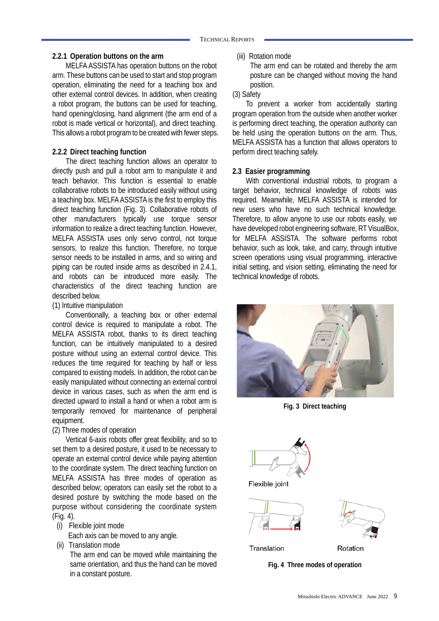#### **2.2.1 Operation buttons on the arm**

MELFA ASSISTA has operation buttons on the robot arm. These buttons can be used to start and stop program operation, eliminating the need for a teaching box and other external control devices. In addition, when creating a robot program, the buttons can be used for teaching, hand opening/closing, hand alignment (the arm end of a robot is made vertical or horizontal), and direct teaching. This allows a robot program to be created with fewer steps.

## **2.2.2 Direct teaching function**

The direct teaching function allows an operator to directly push and pull a robot arm to manipulate it and teach behavior. This function is essential to enable collaborative robots to be introduced easily without using a teaching box. MELFA ASSISTA is the first to employ this direct teaching function (Fig. 3). Collaborative robots of other manufacturers typically use torque sensor information to realize a direct teaching function. However, MELFA ASSISTA uses only servo control, not torque sensors, to realize this function. Therefore, no torque sensor needs to be installed in arms, and so wiring and piping can be routed inside arms as described in 2.4.1, and robots can be introduced more easily. The characteristics of the direct teaching function are described below.

## (1) Intuitive manipulation

Conventionally, a teaching box or other external control device is required to manipulate a robot. The MELFA ASSISTA robot, thanks to its direct teaching function, can be intuitively manipulated to a desired posture without using an external control device. This reduces the time required for teaching by half or less compared to existing models. In addition, the robot can be easily manipulated without connecting an external control device in various cases, such as when the arm end is directed upward to install a hand or when a robot arm is temporarily removed for maintenance of peripheral equipment.

#### (2) Three modes of operation

Vertical 6-axis robots offer great flexibility, and so to set them to a desired posture, it used to be necessary to operate an external control device while paying attention to the coordinate system. The direct teaching function on MELFA ASSISTA has three modes of operation as described below; operators can easily set the robot to a desired posture by switching the mode based on the purpose without considering the coordinate system (Fig. 4).

(i) Flexible joint mode

Each axis can be moved to any angle.

(ii) Translation mode

The arm end can be moved while maintaining the same orientation, and thus the hand can be moved in a constant posture.

(iii) Rotation mode

The arm end can be rotated and thereby the arm posture can be changed without moving the hand position.

(3) Safety

To prevent a worker from accidentally starting program operation from the outside when another worker is performing direct teaching, the operation authority can be held using the operation buttons on the arm. Thus, MELFA ASSISTA has a function that allows operators to perform direct teaching safely.

## **2.3 Easier programming**

With conventional industrial robots, to program a target behavior, technical knowledge of robots was required. Meanwhile, MELFA ASSISTA is intended for new users who have no such technical knowledge. Therefore, to allow anyone to use our robots easily, we have developed robot engineering software, RT VisualBox, for MELFA ASSISTA. The software performs robot behavior, such as look, take, and carry, through intuitive screen operations using visual programming, interactive initial setting, and vision setting, eliminating the need for technical knowledge of robots.



**Fig. 3 Direct teaching**



Flexible joint





Translation

Rotation

**Fig. 4 Three modes of operation**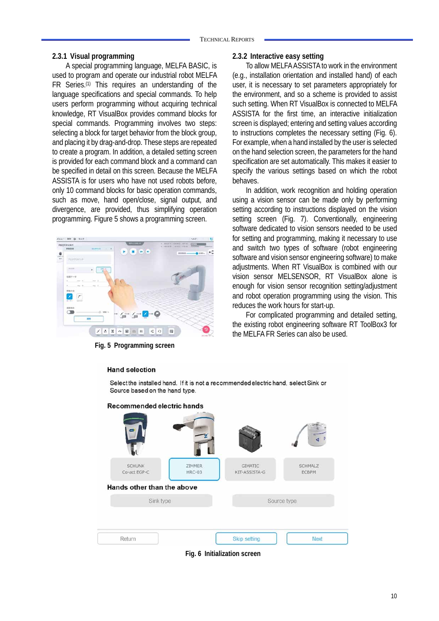#### **2.3.1 Visual programming**

A special programming language, MELFA BASIC, is used to program and operate our industrial robot MELFA FR Series.(1) This requires an understanding of the language specifications and special commands. To help users perform programming without acquiring technical knowledge, RT VisualBox provides command blocks for special commands. Programming involves two steps: selecting a block for target behavior from the block group, and placing it by drag-and-drop. These steps are repeated to create a program. In addition, a detailed setting screen is provided for each command block and a command can be specified in detail on this screen. Because the MELFA ASSISTA is for users who have not used robots before, only 10 command blocks for basic operation commands, such as move, hand open/close, signal output, and divergence, are provided, thus simplifying operation programming. Figure 5 shows a programming screen.



**Fig. 5 Programming screen**

## **2.3.2 Interactive easy setting**

To allow MELFA ASSISTA to work in the environment (e.g., installation orientation and installed hand) of each user, it is necessary to set parameters appropriately for the environment, and so a scheme is provided to assist such setting. When RT VisualBox is connected to MELFA ASSISTA for the first time, an interactive initialization screen is displayed; entering and setting values according to instructions completes the necessary setting (Fig. 6). For example, when a hand installed by the user is selected on the hand selection screen, the parameters for the hand specification are set automatically. This makes it easier to specify the various settings based on which the robot behaves.

In addition, work recognition and holding operation using a vision sensor can be made only by performing setting according to instructions displayed on the vision setting screen (Fig. 7). Conventionally, engineering software dedicated to vision sensors needed to be used for setting and programming, making it necessary to use and switch two types of software (robot engineering software and vision sensor engineering software) to make adjustments. When RT VisualBox is combined with our vision sensor MELSENSOR, RT VisualBox alone is enough for vision sensor recognition setting/adjustment and robot operation programming using the vision. This reduces the work hours for start-up.

For complicated programming and detailed setting, the existing robot engineering software RT ToolBox3 for the MELFA FR Series can also be used.



**Fig. 6 Initialization screen** 

#### **Hand selection**